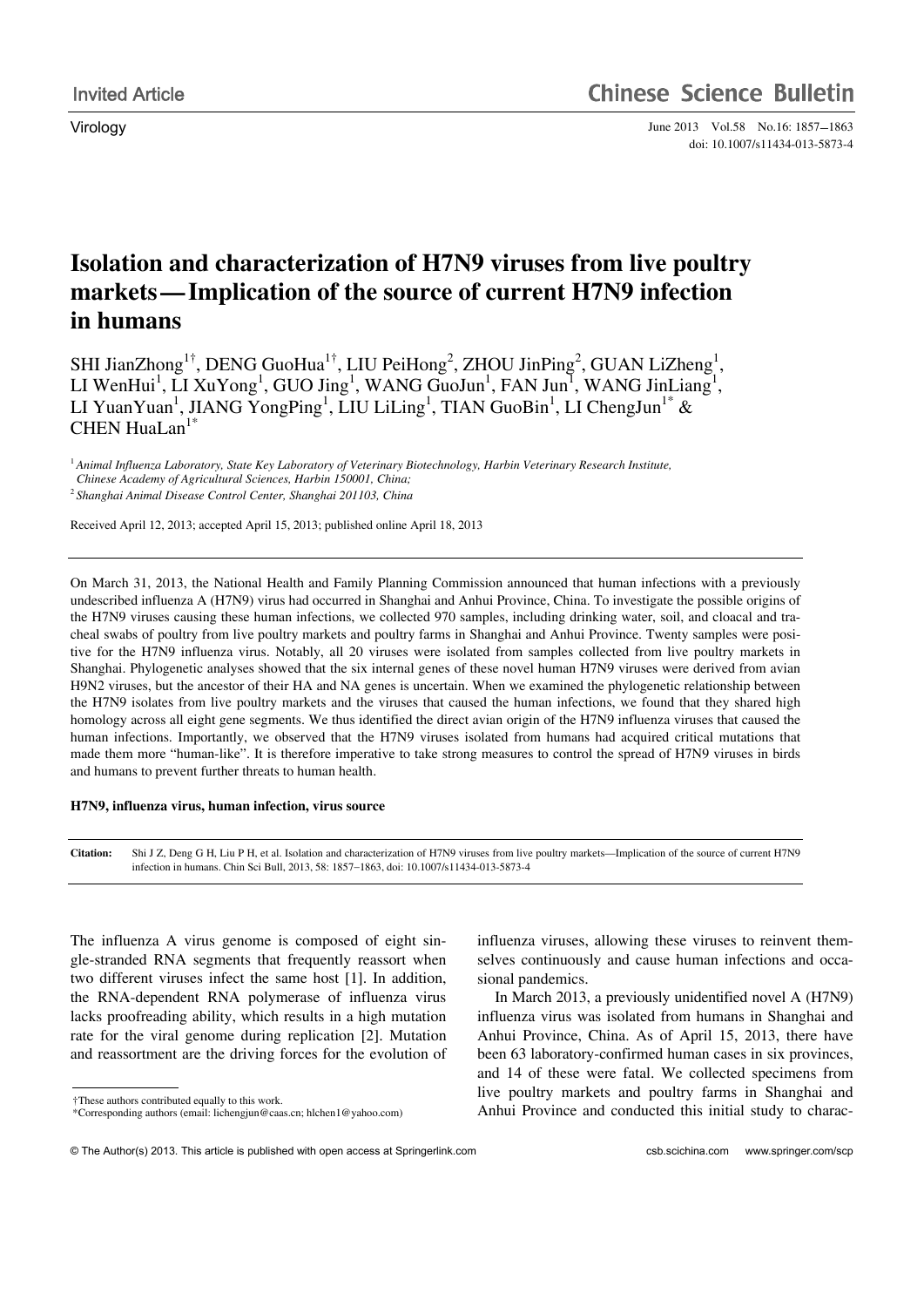Virology June 2013 Vol.58 No.16: 1857–1863 doi: 10.1007/s11434-013-5873-4

# **Isolation and characterization of H7N9 viruses from live poultry markets—Implication of the source of current H7N9 infection in humans**

SHI JianZhong<sup>1†</sup>, DENG GuoHua<sup>1†</sup>, LIU PeiHong<sup>2</sup>, ZHOU JinPing<sup>2</sup>, GUAN LiZheng<sup>1</sup>, LI WenHui<sup>1</sup>, LI XuYong<sup>1</sup>, GUO Jing<sup>1</sup>, WANG GuoJun<sup>1</sup>, FAN Jun<sup>1</sup>, WANG JinLiang<sup>1</sup>, LI YuanYuan<sup>1</sup>, JIANG YongPing<sup>1</sup>, LIU LiLing<sup>1</sup>, TIAN GuoBin<sup>1</sup>, LI ChengJun<sup>1\*</sup> & CHEN HuaLan $1^*$ 

<sup>1</sup>*Animal Influenza Laboratory, State Key Laboratory of Veterinary Biotechnology, Harbin Veterinary Research Institute, Chinese Academy of Agricultural Sciences, Harbin 150001, China;*  <sup>2</sup>*Shanghai Animal Disease Control Center, Shanghai 201103, China* 

Received April 12, 2013; accepted April 15, 2013; published online April 18, 2013

On March 31, 2013, the National Health and Family Planning Commission announced that human infections with a previously undescribed influenza A (H7N9) virus had occurred in Shanghai and Anhui Province, China. To investigate the possible origins of the H7N9 viruses causing these human infections, we collected 970 samples, including drinking water, soil, and cloacal and tracheal swabs of poultry from live poultry markets and poultry farms in Shanghai and Anhui Province. Twenty samples were positive for the H7N9 influenza virus. Notably, all 20 viruses were isolated from samples collected from live poultry markets in Shanghai. Phylogenetic analyses showed that the six internal genes of these novel human H7N9 viruses were derived from avian H9N2 viruses, but the ancestor of their HA and NA genes is uncertain. When we examined the phylogenetic relationship between the H7N9 isolates from live poultry markets and the viruses that caused the human infections, we found that they shared high homology across all eight gene segments. We thus identified the direct avian origin of the H7N9 influenza viruses that caused the human infections. Importantly, we observed that the H7N9 viruses isolated from humans had acquired critical mutations that made them more "human-like". It is therefore imperative to take strong measures to control the spread of H7N9 viruses in birds and humans to prevent further threats to human health.

## **H7N9, influenza virus, human infection, virus source**

**Citation:** Shi J Z, Deng G H, Liu P H, et al. Isolation and characterization of H7N9 viruses from live poultry markets—Implication of the source of current H7N9 infection in humans. Chin Sci Bull, 2013, 58: 1857-1863, doi: 10.1007/s11434-013-5873-4

The influenza A virus genome is composed of eight single-stranded RNA segments that frequently reassort when two different viruses infect the same host [1]. In addition, the RNA-dependent RNA polymerase of influenza virus lacks proofreading ability, which results in a high mutation rate for the viral genome during replication [2]. Mutation and reassortment are the driving forces for the evolution of

 $\overline{a}$ 

influenza viruses, allowing these viruses to reinvent themselves continuously and cause human infections and occasional pandemics.

In March 2013, a previously unidentified novel A (H7N9) influenza virus was isolated from humans in Shanghai and Anhui Province, China. As of April 15, 2013, there have been 63 laboratory-confirmed human cases in six provinces, and 14 of these were fatal. We collected specimens from live poultry markets and poultry farms in Shanghai and Anhui Province and conducted this initial study to charac-

<sup>†</sup>These authors contributed equally to this work.

<sup>\*</sup>Corresponding authors (email: lichengjun@caas.cn; hlchen1@yahoo.com)

<sup>©</sup> The Author(s) 2013. This article is published with open access at Springerlink.com csb.scichina.com www.springer.com/scp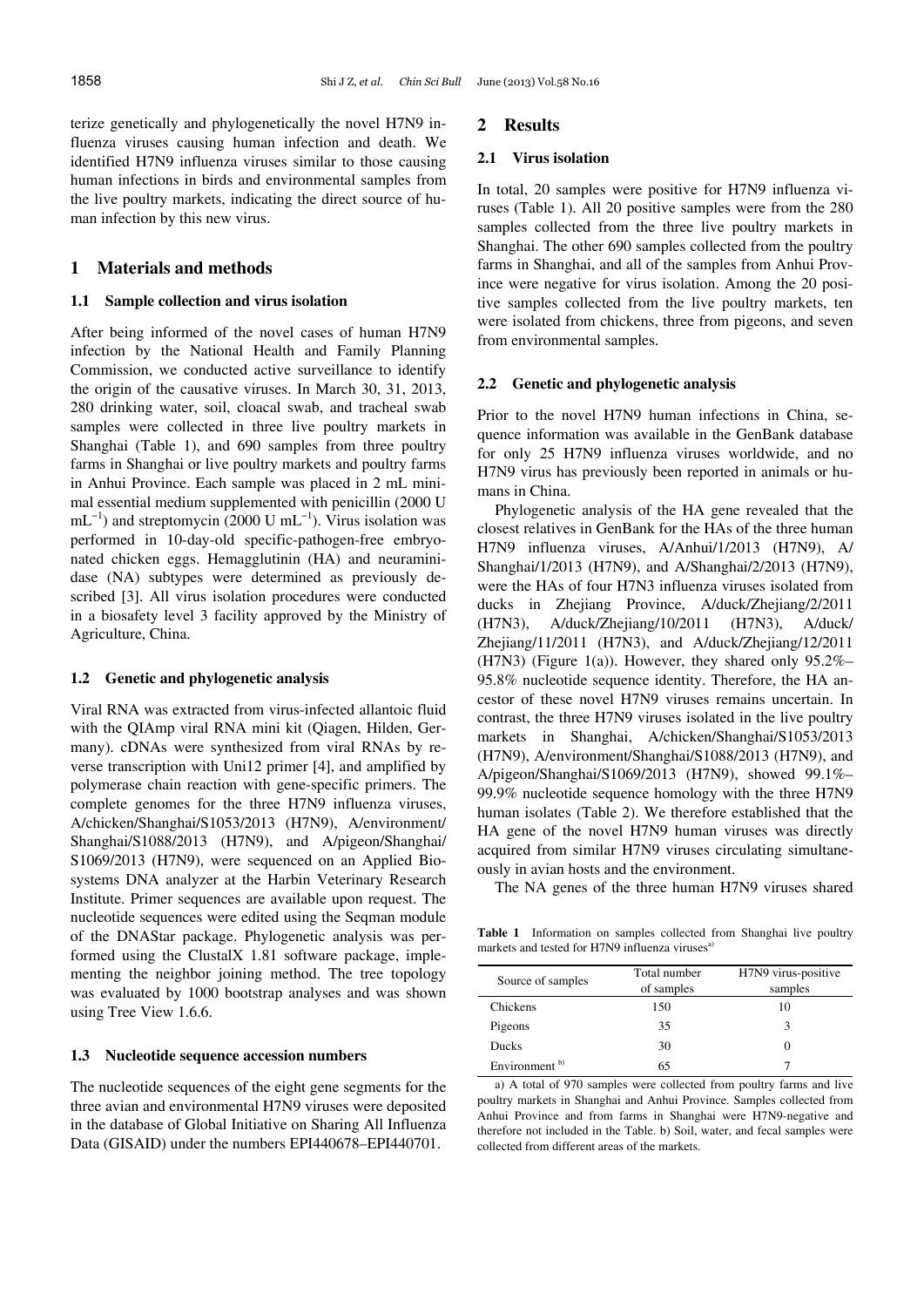terize genetically and phylogenetically the novel H7N9 influenza viruses causing human infection and death. We identified H7N9 influenza viruses similar to those causing human infections in birds and environmental samples from the live poultry markets, indicating the direct source of human infection by this new virus.

## **1 Materials and methods**

## **1.1 Sample collection and virus isolation**

After being informed of the novel cases of human H7N9 infection by the National Health and Family Planning Commission, we conducted active surveillance to identify the origin of the causative viruses. In March 30, 31, 2013, 280 drinking water, soil, cloacal swab, and tracheal swab samples were collected in three live poultry markets in Shanghai (Table 1), and 690 samples from three poultry farms in Shanghai or live poultry markets and poultry farms in Anhui Province. Each sample was placed in 2 mL minimal essential medium supplemented with penicillin (2000 U  $mL^{-1}$ ) and streptomycin (2000 U mL<sup>-1</sup>). Virus isolation was performed in 10-day-old specific-pathogen-free embryonated chicken eggs. Hemagglutinin (HA) and neuraminidase (NA) subtypes were determined as previously described [3]. All virus isolation procedures were conducted in a biosafety level 3 facility approved by the Ministry of Agriculture, China.

#### **1.2 Genetic and phylogenetic analysis**

Viral RNA was extracted from virus-infected allantoic fluid with the QIAmp viral RNA mini kit (Qiagen, Hilden, Germany). cDNAs were synthesized from viral RNAs by reverse transcription with Uni12 primer [4], and amplified by polymerase chain reaction with gene-specific primers. The complete genomes for the three H7N9 influenza viruses, A/chicken/Shanghai/S1053/2013 (H7N9), A/environment/ Shanghai/S1088/2013 (H7N9), and A/pigeon/Shanghai/ S1069/2013 (H7N9), were sequenced on an Applied Biosystems DNA analyzer at the Harbin Veterinary Research Institute. Primer sequences are available upon request. The nucleotide sequences were edited using the Seqman module of the DNAStar package. Phylogenetic analysis was performed using the ClustalX 1.81 software package, implementing the neighbor joining method. The tree topology was evaluated by 1000 bootstrap analyses and was shown using Tree View 1.6.6.

## **1.3 Nucleotide sequence accession numbers**

The nucleotide sequences of the eight gene segments for the three avian and environmental H7N9 viruses were deposited in the database of Global Initiative on Sharing All Influenza Data (GISAID) under the numbers EPI440678–EPI440701.

#### **2 Results**

#### **2.1 Virus isolation**

In total, 20 samples were positive for H7N9 influenza viruses (Table 1). All 20 positive samples were from the 280 samples collected from the three live poultry markets in Shanghai. The other 690 samples collected from the poultry farms in Shanghai, and all of the samples from Anhui Province were negative for virus isolation. Among the 20 positive samples collected from the live poultry markets, ten were isolated from chickens, three from pigeons, and seven from environmental samples.

#### **2.2 Genetic and phylogenetic analysis**

Prior to the novel H7N9 human infections in China, sequence information was available in the GenBank database for only 25 H7N9 influenza viruses worldwide, and no H7N9 virus has previously been reported in animals or humans in China.

Phylogenetic analysis of the HA gene revealed that the closest relatives in GenBank for the HAs of the three human H7N9 influenza viruses, A/Anhui/1/2013 (H7N9), A/ Shanghai/1/2013 (H7N9), and A/Shanghai/2/2013 (H7N9), were the HAs of four H7N3 influenza viruses isolated from ducks in Zhejiang Province, A/duck/Zhejiang/2/2011 (H7N3), A/duck/Zhejiang/10/2011 (H7N3), A/duck/ Zhejiang/11/2011 (H7N3), and A/duck/Zhejiang/12/2011 (H7N3) (Figure 1(a)). However, they shared only 95.2%– 95.8% nucleotide sequence identity. Therefore, the HA ancestor of these novel H7N9 viruses remains uncertain. In contrast, the three H7N9 viruses isolated in the live poultry markets in Shanghai, A/chicken/Shanghai/S1053/2013 (H7N9), A/environment/Shanghai/S1088/2013 (H7N9), and A/pigeon/Shanghai/S1069/2013 (H7N9), showed 99.1%– 99.9% nucleotide sequence homology with the three H7N9 human isolates (Table 2). We therefore established that the HA gene of the novel H7N9 human viruses was directly acquired from similar H7N9 viruses circulating simultaneously in avian hosts and the environment.

The NA genes of the three human H7N9 viruses shared

**Table 1** Information on samples collected from Shanghai live poultry markets and tested for H7N9 influenza viruses<sup>a)</sup>

| Source of samples | Total number<br>of samples | H7N9 virus-positive<br>samples |  |  |
|-------------------|----------------------------|--------------------------------|--|--|
|                   |                            |                                |  |  |
| Chickens          | 150                        | 10                             |  |  |
| Pigeons           | 35                         | ٦                              |  |  |
| <b>Ducks</b>      | 30                         |                                |  |  |
| Environment $b$   | 65                         |                                |  |  |

a) A total of 970 samples were collected from poultry farms and live poultry markets in Shanghai and Anhui Province. Samples collected from Anhui Province and from farms in Shanghai were H7N9-negative and therefore not included in the Table. b) Soil, water, and fecal samples were collected from different areas of the markets.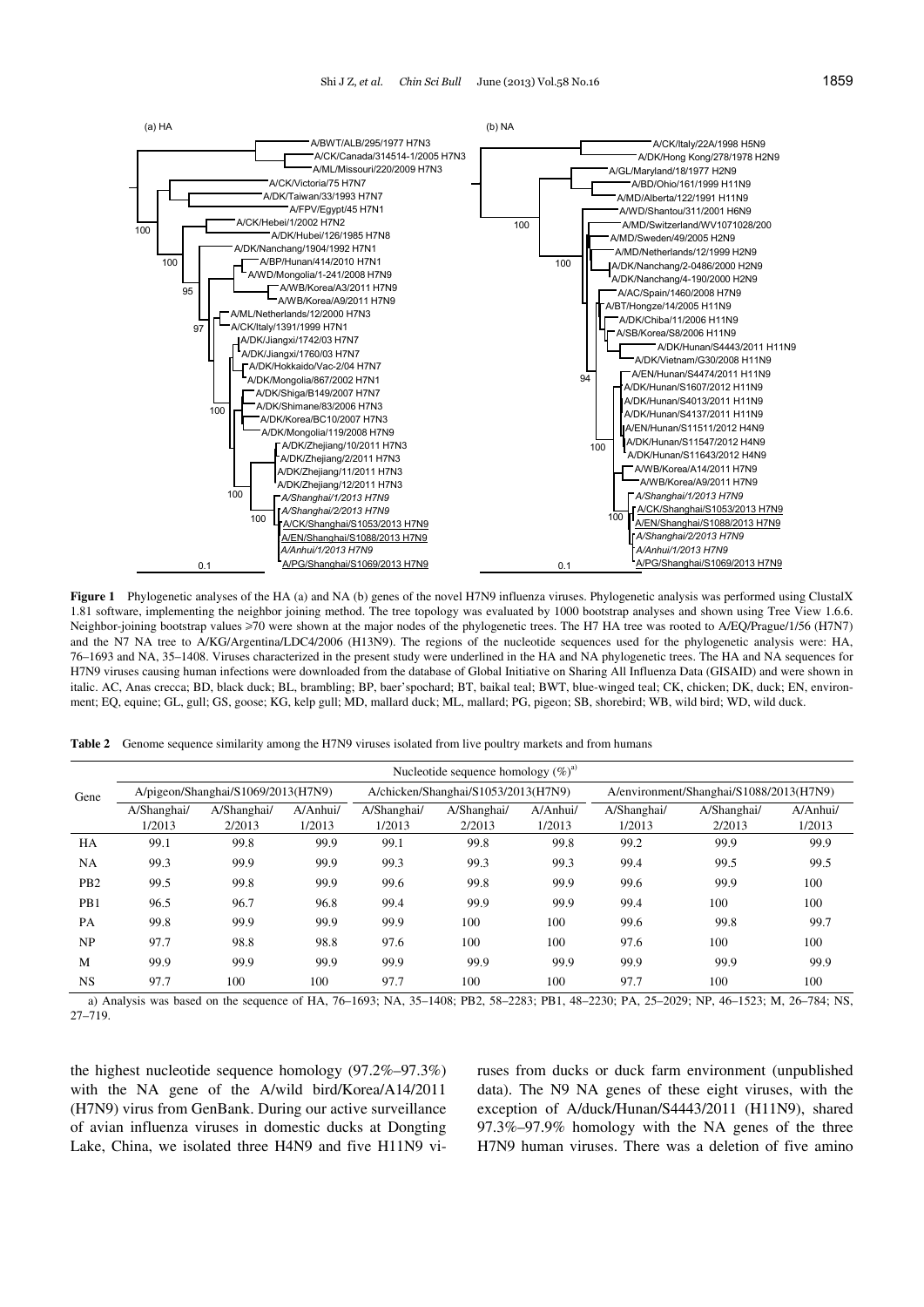

**Figure 1** Phylogenetic analyses of the HA (a) and NA (b) genes of the novel H7N9 influenza viruses. Phylogenetic analysis was performed using ClustalX 1.81 software, implementing the neighbor joining method. The tree topology was evaluated by 1000 bootstrap analyses and shown using Tree View 1.6.6. Neighbor-joining bootstrap values ≥70 were shown at the major nodes of the phylogenetic trees. The H7 HA tree was rooted to A/EQ/Prague/1/56 (H7N7) and the N7 NA tree to A/KG/Argentina/LDC4/2006 (H13N9). The regions of the nucleotide sequences used for the phylogenetic analysis were: HA, 76–1693 and NA, 35–1408. Viruses characterized in the present study were underlined in the HA and NA phylogenetic trees. The HA and NA sequences for H7N9 viruses causing human infections were downloaded from the database of Global Initiative on Sharing All Influenza Data (GISAID) and were shown in italic. AC, Anas crecca; BD, black duck; BL, brambling; BP, baer'spochard; BT, baikal teal; BWT, blue-winged teal; CK, chicken; DK, duck; EN, environment; EQ, equine; GL, gull; GS, goose; KG, kelp gull; MD, mallard duck; ML, mallard; PG, pigeon; SB, shorebird; WB, wild bird; WD, wild duck.

|  |  | Table 2 Genome sequence similarity among the H7N9 viruses isolated from live poultry markets and from humans |
|--|--|--------------------------------------------------------------------------------------------------------------|
|  |  |                                                                                                              |

|                  | Nucleotide sequence homology $(\%)^{\alpha}$ |             |          |                                     |             |                                         |             |             |          |
|------------------|----------------------------------------------|-------------|----------|-------------------------------------|-------------|-----------------------------------------|-------------|-------------|----------|
| Gene             | A/pigeon/Shanghai/S1069/2013(H7N9)           |             |          | A/chicken/Shanghai/S1053/2013(H7N9) |             | A/environment/Shanghai/S1088/2013(H7N9) |             |             |          |
|                  | A/Shanghai/                                  | A/Shanghai/ | A/Anhui/ | A/Shanghai/                         | A/Shanghai/ | A/Anhui/                                | A/Shanghai/ | A/Shanghai/ | A/Anhui/ |
|                  | 1/2013                                       | 2/2013      | 1/2013   | 1/2013                              | 2/2013      | 1/2013                                  | 1/2013      | 2/2013      | 1/2013   |
| HA               | 99.1                                         | 99.8        | 99.9     | 99.1                                | 99.8        | 99.8                                    | 99.2        | 99.9        | 99.9     |
| NA               | 99.3                                         | 99.9        | 99.9     | 99.3                                | 99.3        | 99.3                                    | 99.4        | 99.5        | 99.5     |
| P <sub>B</sub> 2 | 99.5                                         | 99.8        | 99.9     | 99.6                                | 99.8        | 99.9                                    | 99.6        | 99.9        | 100      |
| PB <sub>1</sub>  | 96.5                                         | 96.7        | 96.8     | 99.4                                | 99.9        | 99.9                                    | 99.4        | 100         | 100      |
| PA               | 99.8                                         | 99.9        | 99.9     | 99.9                                | 100         | 100                                     | 99.6        | 99.8        | 99.7     |
| NP               | 97.7                                         | 98.8        | 98.8     | 97.6                                | 100         | 100                                     | 97.6        | 100         | 100      |
| M                | 99.9                                         | 99.9        | 99.9     | 99.9                                | 99.9        | 99.9                                    | 99.9        | 99.9        | 99.9     |
| <b>NS</b>        | 97.7                                         | 100         | 100      | 97.7                                | 100         | 100                                     | 97.7        | 100         | 100      |

a) Analysis was based on the sequence of HA, 76–1693; NA, 35–1408; PB2, 58–2283; PB1, 48–2230; PA, 25–2029; NP, 46–1523; M, 26–784; NS, 27–719.

the highest nucleotide sequence homology (97.2%–97.3%) with the NA gene of the A/wild bird/Korea/A14/2011 (H7N9) virus from GenBank. During our active surveillance of avian influenza viruses in domestic ducks at Dongting Lake, China, we isolated three H4N9 and five H11N9 viruses from ducks or duck farm environment (unpublished data). The N9 NA genes of these eight viruses, with the exception of A/duck/Hunan/S4443/2011 (H11N9), shared 97.3%–97.9% homology with the NA genes of the three H7N9 human viruses. There was a deletion of five amino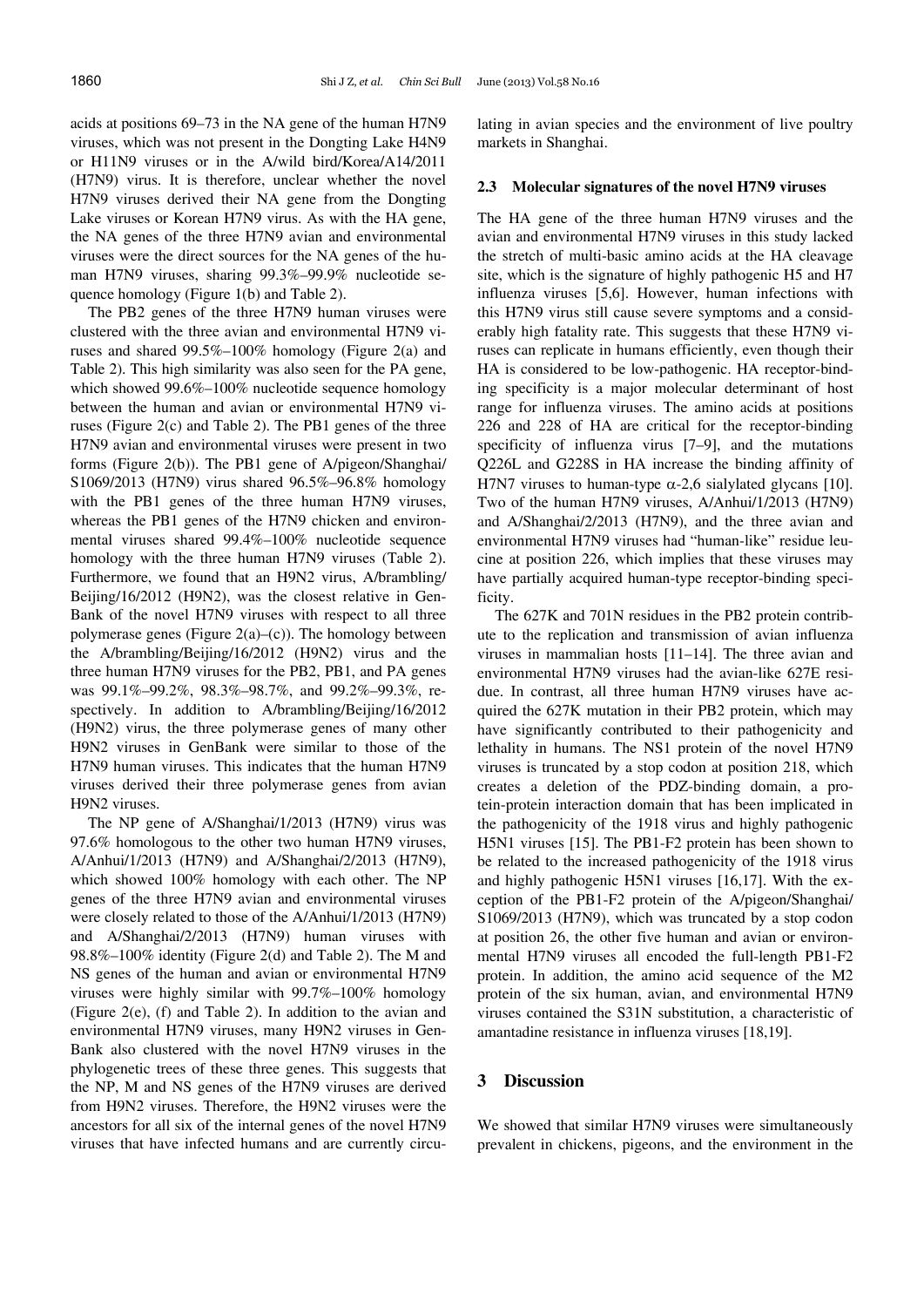acids at positions 69–73 in the NA gene of the human H7N9 viruses, which was not present in the Dongting Lake H4N9 or H11N9 viruses or in the A/wild bird/Korea/A14/2011 (H7N9) virus. It is therefore, unclear whether the novel H7N9 viruses derived their NA gene from the Dongting Lake viruses or Korean H7N9 virus. As with the HA gene, the NA genes of the three H7N9 avian and environmental viruses were the direct sources for the NA genes of the human H7N9 viruses, sharing 99.3%–99.9% nucleotide sequence homology (Figure 1(b) and Table 2).

The PB2 genes of the three H7N9 human viruses were clustered with the three avian and environmental H7N9 viruses and shared 99.5%–100% homology (Figure 2(a) and Table 2). This high similarity was also seen for the PA gene, which showed 99.6%–100% nucleotide sequence homology between the human and avian or environmental H7N9 viruses (Figure 2(c) and Table 2). The PB1 genes of the three H7N9 avian and environmental viruses were present in two forms (Figure 2(b)). The PB1 gene of A/pigeon/Shanghai/ S1069/2013 (H7N9) virus shared 96.5%–96.8% homology with the PB1 genes of the three human H7N9 viruses, whereas the PB1 genes of the H7N9 chicken and environmental viruses shared 99.4%–100% nucleotide sequence homology with the three human H7N9 viruses (Table 2). Furthermore, we found that an H9N2 virus, A/brambling/ Beijing/16/2012 (H9N2), was the closest relative in Gen-Bank of the novel H7N9 viruses with respect to all three polymerase genes (Figure 2(a)–(c)). The homology between the A/brambling/Beijing/16/2012 (H9N2) virus and the three human H7N9 viruses for the PB2, PB1, and PA genes was 99.1%–99.2%, 98.3%–98.7%, and 99.2%–99.3%, respectively. In addition to A/brambling/Beijing/16/2012 (H9N2) virus, the three polymerase genes of many other H9N2 viruses in GenBank were similar to those of the H7N9 human viruses. This indicates that the human H7N9 viruses derived their three polymerase genes from avian H9N2 viruses.

The NP gene of A/Shanghai/1/2013 (H7N9) virus was 97.6% homologous to the other two human H7N9 viruses, A/Anhui/1/2013 (H7N9) and A/Shanghai/2/2013 (H7N9), which showed 100% homology with each other. The NP genes of the three H7N9 avian and environmental viruses were closely related to those of the A/Anhui/1/2013 (H7N9) and A/Shanghai/2/2013 (H7N9) human viruses with 98.8%–100% identity (Figure 2(d) and Table 2). The M and NS genes of the human and avian or environmental H7N9 viruses were highly similar with 99.7%–100% homology (Figure 2(e), (f) and Table 2). In addition to the avian and environmental H7N9 viruses, many H9N2 viruses in Gen-Bank also clustered with the novel H7N9 viruses in the phylogenetic trees of these three genes. This suggests that the NP, M and NS genes of the H7N9 viruses are derived from H9N2 viruses. Therefore, the H9N2 viruses were the ancestors for all six of the internal genes of the novel H7N9 viruses that have infected humans and are currently circulating in avian species and the environment of live poultry markets in Shanghai.

## **2.3 Molecular signatures of the novel H7N9 viruses**

The HA gene of the three human H7N9 viruses and the avian and environmental H7N9 viruses in this study lacked the stretch of multi-basic amino acids at the HA cleavage site, which is the signature of highly pathogenic H5 and H7 influenza viruses [5,6]. However, human infections with this H7N9 virus still cause severe symptoms and a considerably high fatality rate. This suggests that these H7N9 viruses can replicate in humans efficiently, even though their HA is considered to be low-pathogenic. HA receptor-binding specificity is a major molecular determinant of host range for influenza viruses. The amino acids at positions 226 and 228 of HA are critical for the receptor-binding specificity of influenza virus [7–9], and the mutations Q226L and G228S in HA increase the binding affinity of H7N7 viruses to human-type  $\alpha$ -2,6 sialylated glycans [10]. Two of the human H7N9 viruses, A/Anhui/1/2013 (H7N9) and A/Shanghai/2/2013 (H7N9), and the three avian and environmental H7N9 viruses had "human-like" residue leucine at position 226, which implies that these viruses may have partially acquired human-type receptor-binding specificity.

The 627K and 701N residues in the PB2 protein contribute to the replication and transmission of avian influenza viruses in mammalian hosts [11–14]. The three avian and environmental H7N9 viruses had the avian-like 627E residue. In contrast, all three human H7N9 viruses have acquired the 627K mutation in their PB2 protein, which may have significantly contributed to their pathogenicity and lethality in humans. The NS1 protein of the novel H7N9 viruses is truncated by a stop codon at position 218, which creates a deletion of the PDZ-binding domain, a protein-protein interaction domain that has been implicated in the pathogenicity of the 1918 virus and highly pathogenic H5N1 viruses [15]. The PB1-F2 protein has been shown to be related to the increased pathogenicity of the 1918 virus and highly pathogenic H5N1 viruses [16,17]. With the exception of the PB1-F2 protein of the A/pigeon/Shanghai/ S1069/2013 (H7N9), which was truncated by a stop codon at position 26, the other five human and avian or environmental H7N9 viruses all encoded the full-length PB1-F2 protein. In addition, the amino acid sequence of the M2 protein of the six human, avian, and environmental H7N9 viruses contained the S31N substitution, a characteristic of amantadine resistance in influenza viruses [18,19].

## **3 Discussion**

We showed that similar H7N9 viruses were simultaneously prevalent in chickens, pigeons, and the environment in the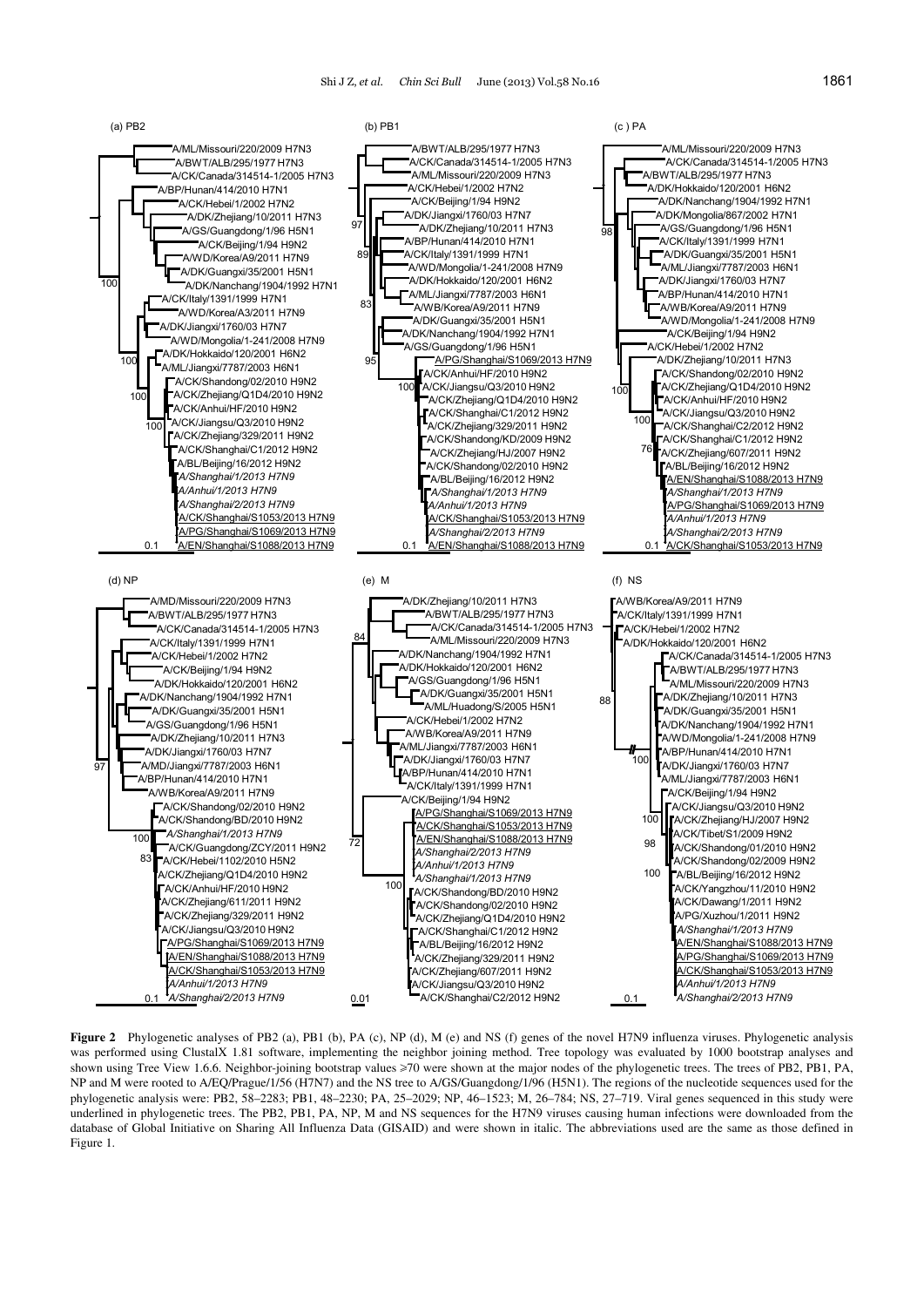

**Figure 2** Phylogenetic analyses of PB2 (a), PB1 (b), PA (c), NP (d), M (e) and NS (f) genes of the novel H7N9 influenza viruses. Phylogenetic analysis was performed using ClustalX 1.81 software, implementing the neighbor joining method. Tree topology was evaluated by 1000 bootstrap analyses and shown using Tree View 1.6.6. Neighbor-joining bootstrap values ≥70 were shown at the major nodes of the phylogenetic trees. The trees of PB2, PB1, PA, NP and M were rooted to A/EQ/Prague/1/56 (H7N7) and the NS tree to A/GS/Guangdong/1/96 (H5N1). The regions of the nucleotide sequences used for the phylogenetic analysis were: PB2, 58–2283; PB1, 48–2230; PA, 25–2029; NP, 46–1523; M, 26–784; NS, 27–719. Viral genes sequenced in this study were underlined in phylogenetic trees. The PB2, PB1, PA, NP, M and NS sequences for the H7N9 viruses causing human infections were downloaded from the database of Global Initiative on Sharing All Influenza Data (GISAID) and were shown in italic. The abbreviations used are the same as those defined in Figure 1.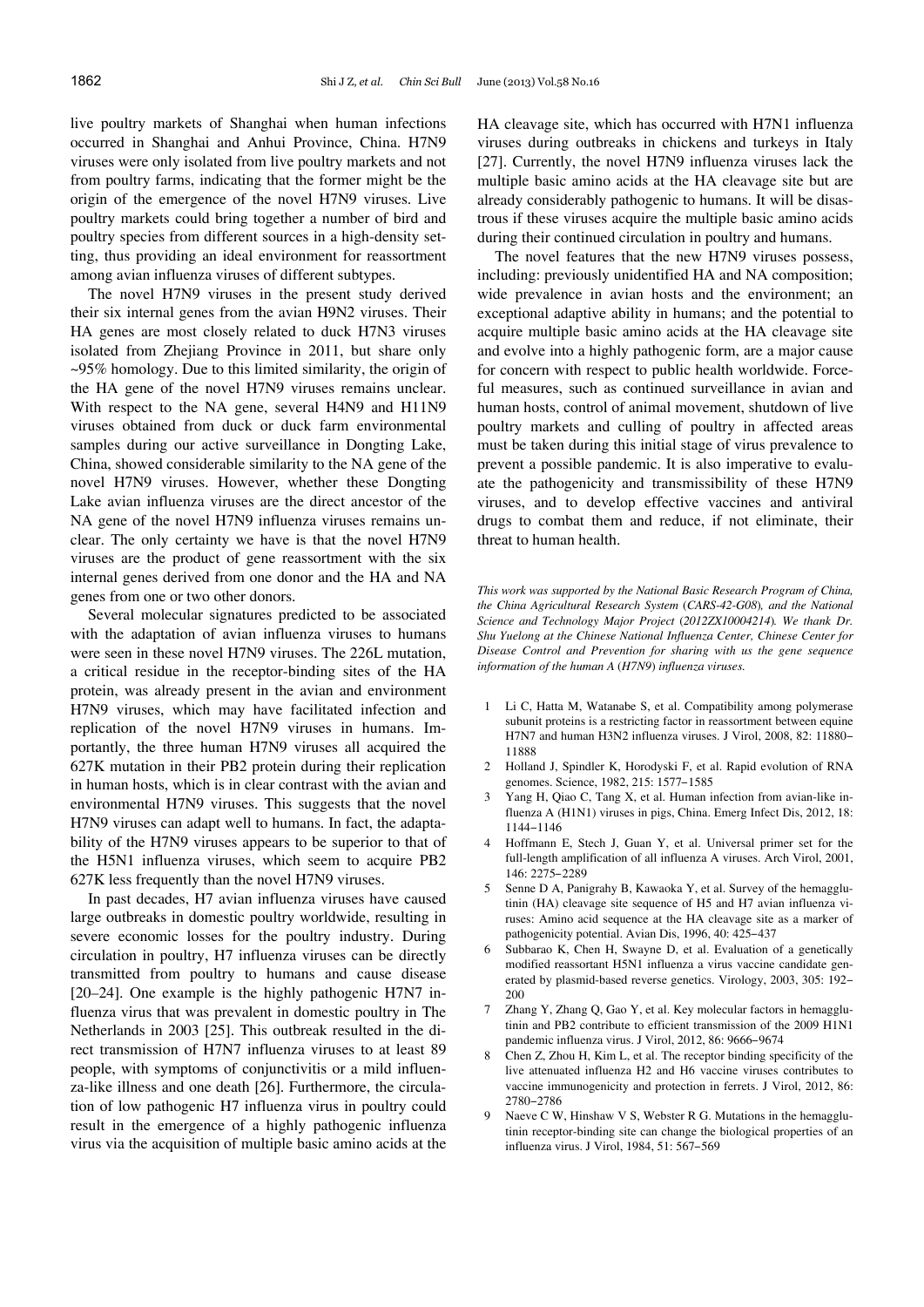live poultry markets of Shanghai when human infections occurred in Shanghai and Anhui Province, China. H7N9 viruses were only isolated from live poultry markets and not from poultry farms, indicating that the former might be the origin of the emergence of the novel H7N9 viruses. Live poultry markets could bring together a number of bird and poultry species from different sources in a high-density setting, thus providing an ideal environment for reassortment among avian influenza viruses of different subtypes.

The novel H7N9 viruses in the present study derived their six internal genes from the avian H9N2 viruses. Their HA genes are most closely related to duck H7N3 viruses isolated from Zhejiang Province in 2011, but share only ~95% homology. Due to this limited similarity, the origin of the HA gene of the novel H7N9 viruses remains unclear. With respect to the NA gene, several H4N9 and H11N9 viruses obtained from duck or duck farm environmental samples during our active surveillance in Dongting Lake, China, showed considerable similarity to the NA gene of the novel H7N9 viruses. However, whether these Dongting Lake avian influenza viruses are the direct ancestor of the NA gene of the novel H7N9 influenza viruses remains unclear. The only certainty we have is that the novel H7N9 viruses are the product of gene reassortment with the six internal genes derived from one donor and the HA and NA genes from one or two other donors.

Several molecular signatures predicted to be associated with the adaptation of avian influenza viruses to humans were seen in these novel H7N9 viruses. The 226L mutation, a critical residue in the receptor-binding sites of the HA protein, was already present in the avian and environment H7N9 viruses, which may have facilitated infection and replication of the novel H7N9 viruses in humans. Importantly, the three human H7N9 viruses all acquired the 627K mutation in their PB2 protein during their replication in human hosts, which is in clear contrast with the avian and environmental H7N9 viruses. This suggests that the novel H7N9 viruses can adapt well to humans. In fact, the adaptability of the H7N9 viruses appears to be superior to that of the H5N1 influenza viruses, which seem to acquire PB2 627K less frequently than the novel H7N9 viruses.

In past decades, H7 avian influenza viruses have caused large outbreaks in domestic poultry worldwide, resulting in severe economic losses for the poultry industry. During circulation in poultry, H7 influenza viruses can be directly transmitted from poultry to humans and cause disease [20–24]. One example is the highly pathogenic H7N7 influenza virus that was prevalent in domestic poultry in The Netherlands in 2003 [25]. This outbreak resulted in the direct transmission of H7N7 influenza viruses to at least 89 people, with symptoms of conjunctivitis or a mild influenza-like illness and one death [26]. Furthermore, the circulation of low pathogenic H7 influenza virus in poultry could result in the emergence of a highly pathogenic influenza virus via the acquisition of multiple basic amino acids at the

HA cleavage site, which has occurred with H7N1 influenza viruses during outbreaks in chickens and turkeys in Italy [27]. Currently, the novel H7N9 influenza viruses lack the multiple basic amino acids at the HA cleavage site but are already considerably pathogenic to humans. It will be disastrous if these viruses acquire the multiple basic amino acids during their continued circulation in poultry and humans.

The novel features that the new H7N9 viruses possess, including: previously unidentified HA and NA composition; wide prevalence in avian hosts and the environment; an exceptional adaptive ability in humans; and the potential to acquire multiple basic amino acids at the HA cleavage site and evolve into a highly pathogenic form, are a major cause for concern with respect to public health worldwide. Forceful measures, such as continued surveillance in avian and human hosts, control of animal movement, shutdown of live poultry markets and culling of poultry in affected areas must be taken during this initial stage of virus prevalence to prevent a possible pandemic. It is also imperative to evaluate the pathogenicity and transmissibility of these H7N9 viruses, and to develop effective vaccines and antiviral drugs to combat them and reduce, if not eliminate, their threat to human health.

*This work was supported by the National Basic Research Program of China, the China Agricultural Research System* (*CARS-42-G08*)*, and the National Science and Technology Major Project* (*2012ZX10004214*)*. We thank Dr. Shu Yuelong at the Chinese National Influenza Center, Chinese Center for Disease Control and Prevention for sharing with us the gene sequence information of the human A* (*H7N9*) *influenza viruses.* 

- 1 Li C, Hatta M, Watanabe S, et al. Compatibility among polymerase subunit proteins is a restricting factor in reassortment between equine H7N7 and human H3N2 influenza viruses. J Virol, 2008, 82: 11880-11888
- 2 Holland J, Spindler K, Horodyski F, et al. Rapid evolution of RNA genomes. Science, 1982, 215: 1577-1585
- 3 Yang H, Qiao C, Tang X, et al. Human infection from avian-like influenza A (H1N1) viruses in pigs, China. Emerg Infect Dis, 2012, 18: 1144‒1146
- 4 Hoffmann E, Stech J, Guan Y, et al. Universal primer set for the full-length amplification of all influenza A viruses. Arch Virol, 2001, 146: 2275-2289
- 5 Senne D A, Panigrahy B, Kawaoka Y, et al. Survey of the hemagglutinin (HA) cleavage site sequence of H5 and H7 avian influenza viruses: Amino acid sequence at the HA cleavage site as a marker of pathogenicity potential. Avian Dis, 1996, 40: 425-437
- Subbarao K, Chen H, Swayne D, et al. Evaluation of a genetically modified reassortant H5N1 influenza a virus vaccine candidate generated by plasmid-based reverse genetics. Virology, 2003, 305: 192-200
- 7 Zhang Y, Zhang Q, Gao Y, et al. Key molecular factors in hemagglutinin and PB2 contribute to efficient transmission of the 2009 H1N1 pandemic influenza virus. J Virol, 2012, 86: 9666-9674
- 8 Chen Z, Zhou H, Kim L, et al. The receptor binding specificity of the live attenuated influenza H2 and H6 vaccine viruses contributes to vaccine immunogenicity and protection in ferrets. J Virol, 2012, 86: 2780‒2786
- 9 Naeve C W, Hinshaw V S, Webster R G. Mutations in the hemagglutinin receptor-binding site can change the biological properties of an influenza virus. J Virol, 1984, 51: 567-569